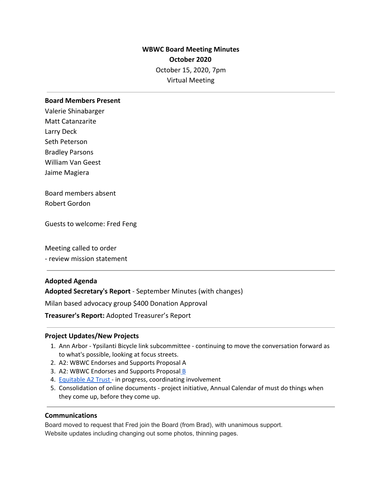# **WBWC Board Meeting Minutes October 2020** October 15, 2020, 7pm Virtual Meeting

#### **Board Members Present**

Valerie Shinabarger Matt Catanzarite Larry Deck Seth Peterson Bradley Parsons William Van Geest Jaime Magiera

Board members absent Robert Gordon

Guests to welcome: Fred Feng

Meeting called to order

- review mission statement

## **Adopted Agenda**

**Adopted Secretary's Report** - September Minutes (with changes)

Milan based advocacy group \$400 Donation Approval

**Treasurer's Report:** Adopted Treasurer's Report

#### **Project Updates/New Projects**

- 1. Ann Arbor Ypsilanti Bicycle link subcommittee continuing to move the conversation forward as to what's possible, looking at focus streets.
- 2. A2: WBWC Endorses and Supports Proposal A
- 3. A2: WBWC Endorses and Supports Proposal [B](https://www.washtenaw.org/DocumentCenter/View/16871/November-3-2020-General-Election-Official-List-of-Proposals---Washtenaw-County?bidId=)
- 4. [Equitable](https://docs.google.com/document/d/12SShLFvIENHPABvGtHLhV2L0nF04XCQCB0omI1ybZCs/edit?usp=sharing) A2 Trust in progress, coordinating involvement
- 5. Consolidation of online documents project initiative, Annual Calendar of must do things when they come up, before they come up.

## **Communications**

Board moved to request that Fred join the Board (from Brad), with unanimous support. Website updates including changing out some photos, thinning pages.